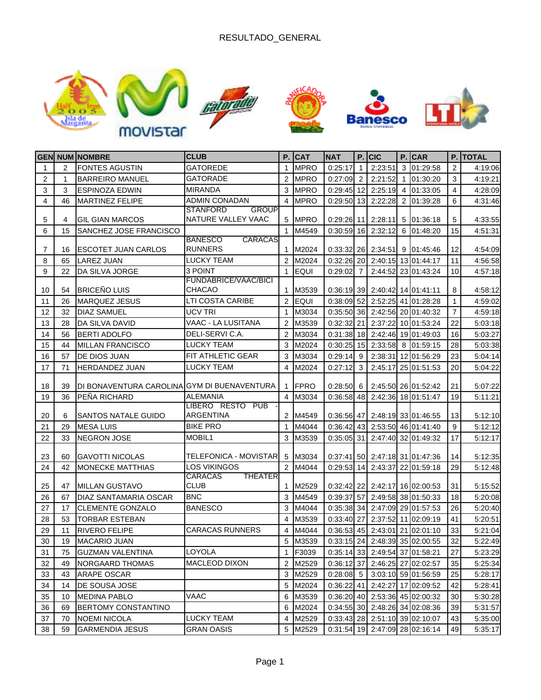

|                |                | <b>GEN NUM NOMBRE</b>                       | <b>CLUB</b>                     |                | $P.$ CAT    | <b>NAT</b>   |                 | P. CIC               |   | $P.$ CAR                         |                | <b>P. TOTAL</b> |
|----------------|----------------|---------------------------------------------|---------------------------------|----------------|-------------|--------------|-----------------|----------------------|---|----------------------------------|----------------|-----------------|
| $\mathbf{1}$   | $\overline{2}$ | <b>FONTES AGUSTIN</b>                       | <b>GATOREDE</b>                 | $\mathbf{1}$   | <b>MPRO</b> | 0:25:17      | 1               | 2:23:51              | 3 | 01:29:58                         | 2              | 4:19:06         |
| $\overline{2}$ | 1              | <b>BARREIRO MANUEL</b>                      | <b>GATORADE</b>                 | $\overline{2}$ | <b>MPRO</b> | $0:27:09$ 2  |                 | 2:21:52              |   | 1 01:30:20                       | 3              | 4:19:21         |
| 3              | 3              | <b>ESPINOZA EDWIN</b>                       | <b>MIRANDA</b>                  | 3              | <b>MPRO</b> | 0:29:45      | 12 <sup>1</sup> | 2:25:19              |   | 4 01:33:05                       | 4              | 4:28:09         |
| 4              | 46             | <b>MARTINEZ FELIPE</b>                      | <b>ADMIN CONADAN</b>            | $\overline{4}$ | <b>MPRO</b> | $0:29:50$ 13 |                 | 2:22:28              |   | 2 01:39:28                       | 6              | 4:31:46         |
|                |                |                                             | <b>STANFORD</b><br><b>GROUP</b> |                |             |              |                 |                      |   |                                  |                |                 |
| 5              | 4              | <b>GIL GIAN MARCOS</b>                      | NATURE VALLEY VAAC              | 5              | <b>MPRO</b> | $0:29:26$ 11 |                 | 2:28:11              |   | $5 \mid 01:36:18$                | 5              | 4:33:55         |
| 6              | 15             | SANCHEZ JOSE FRANCISCO                      | CARACAS<br><b>BANESCO</b>       |                | 1 M4549     | $0:30:59$ 16 |                 | 2:32:12              |   | 6 01:48:20                       | 15             | 4:51:31         |
| 7              | 16             | <b>ESCOTET JUAN CARLOS</b>                  | <b>RUNNERS</b>                  | 1              | M2024       |              |                 | $0:33:32$ 26 2:34:51 |   | 9 01:45:46                       | 12             | 4:54:09         |
| 8              | 65             | <b>LAREZ JUAN</b>                           | <b>LUCKY TEAM</b>               | $\overline{2}$ | M2024       | $0:32:26$ 20 |                 |                      |   | 2:40:15 13 01:44:17              | 11             | 4:56:58         |
| 9              | 22             | DA SILVA JORGE                              | 3 POINT                         | $\mathbf{1}$   | <b>EQUI</b> | 0:29:02      | $\overline{7}$  |                      |   | 2:44:52 23 01:43:24              | 10             | 4:57:18         |
|                |                |                                             | <b>FUNDABRICE/VAAC/BICI</b>     |                |             |              |                 |                      |   |                                  |                |                 |
| 10             | 54             | <b>BRICEÑO LUIS</b>                         | CHACAO                          | $\mathbf 1$    | M3539       |              |                 |                      |   | 0:36:19 39 2:40:42 14 01:41:11   | 8              | 4:58:12         |
| 11             | 26             | <b>MARQUEZ JESUS</b>                        | LTI COSTA CARIBE                | $\overline{2}$ | EQUI        | 0:38:09      | 52 <sub>l</sub> |                      |   | 2:52:25 41 01:28:28              | 1              | 4:59:02         |
| 12             | 32             | <b>DIAZ SAMUEL</b>                          | UCV TRI                         | $\mathbf{1}$   | M3034       |              |                 |                      |   | 0:35:50 36 2:42:56 20 01:40:32   | $\overline{7}$ | 4:59:18         |
| 13             | 28             | <b>DA SILVA DAVID</b>                       | VAAC - LA LUSITANA              | $\overline{2}$ | M3539       | 0:32:32      | 21              |                      |   | 2:37:22 10 01:53:24              | 22             | 5:03:18         |
| 14             | 56             | <b>BERTI ADOLFO</b>                         | DELI-SERVI C.A.                 | 2              | M3034       |              |                 |                      |   | 0:31:38 18 2:42:46 19 01:49:03   | 16             | 5:03:27         |
| 15             | 44             | <b>MILLAN FRANCISCO</b>                     | <b>LUCKY TEAM</b>               | 3              | M2024       | 0:30:25      | 15              | 2:33:58              |   | 8 01:59:15                       | 28             | 5:03:38         |
| 16             | 57             | DE DIOS JUAN                                | <b>FIT ATHLETIC GEAR</b>        | 3              | M3034       | 0:29:14      | 9               | 2:38:31              |   | 12 01:56:29                      | 23             | 5:04:14         |
| 17             | 71             | <b>HERDANDEZ JUAN</b>                       | <b>LUCKY TEAM</b>               | 4              | M2024       | 0:27:12      | $\mathbf{3}$    | 2:45:17              |   | 25 01:51:53                      | 20             | 5:04:22         |
|                |                |                                             |                                 |                |             |              |                 |                      |   |                                  |                |                 |
| 18             | 39             | DI BONAVENTURA CAROLINA GYM DI BUENAVENTURA |                                 | 1              | <b>FPRO</b> | 0:28:50      | 6               |                      |   | 2:45:50 26 01:52:42              | 21             | 5:07:22         |
| 19             | 36             | PEÑA RICHARD                                | <b>ALEMANIA</b>                 | $\overline{4}$ | M3034       | $0:36:58$ 48 |                 |                      |   | 2:42:36 18 01:51:47              | 19             | 5:11:21         |
|                |                |                                             | LIBERO RESTO PUB<br>ARGENTINA   |                |             |              |                 |                      |   |                                  |                |                 |
| 20             | 6              | <b>SANTOS NATALE GUIDO</b>                  |                                 |                | 2 M4549     |              |                 |                      |   | 0:36:56 47 2:48:19 33 01:46:55   | 13             | 5:12:10         |
| 21             | 29             | <b>MESA LUIS</b>                            | <b>BIKE PRO</b>                 |                | 1 M4044     |              |                 |                      |   | $0:36:42$ 43 2:53:50 46 01:41:40 | 9              | 5:12:12         |
| 22             | 33             | <b>NEGRON JOSE</b>                          | MOBIL1                          |                | 3 M3539     | $0:35:05$ 31 |                 |                      |   | 2:47:40 32 01:49:32              | 17             | 5:12:17         |
| 23             | 60             | GAVOTTI NICOLAS                             | TELEFONICA - MOVISTAR <b>I</b>  | 5              | M3034       |              |                 |                      |   | 0:37:41 50 2:47:18 31 01:47:36   | 14             | 5:12:35         |
| 24             | 42             | <b>MONECKE MATTHIAS</b>                     | <b>LOS VIKINGOS</b>             | 2              | M4044       | 0:29:53      | 14              |                      |   | 2:43:37 22 01:59:18              | 29             | 5:12:48         |
|                |                |                                             | CARACAS<br><b>THEATER</b>       |                |             |              |                 |                      |   |                                  |                |                 |
| 25             | 47             | <b>MILLAN GUSTAVO</b>                       | <b>CLUB</b>                     | $\mathbf 1$    | M2529       |              |                 |                      |   | $0:32:42$ 22 2:42:17 16 02:00:53 | 31             | 5:15:52         |
| 26             | 67             | <b>DIAZ SANTAMARIA OSCAR</b>                | <b>BNC</b>                      | 3              | M4549       | 0:39:37      | 57              |                      |   | 2:49:58 38 01:50:33              | 18             | 5:20:08         |
| 27             | 17             | <b>CLEMENTE GONZALO</b>                     | <b>BANESCO</b>                  | 3              | M4044       |              |                 |                      |   | 0:35:38 34 2:47:09 29 01:57:53   | 26             | 5:20:40         |
| 28             | 53             | <b>TORBAR ESTEBAN</b>                       |                                 | 4              | M3539       | 0:33:40 27   |                 |                      |   | 2:37:52 11 02:09:19              | 41             | 5:20:51         |
| 29             | 11             | <b>RIVERO FELIPE</b>                        | <b>CARACAS RUNNERS</b>          | 4              | M4044       |              |                 |                      |   | $0:36:53$ 45 2:43:01 21 02:01:10 | 33             | 5:21:04         |
| 30             | 19             | <b>MACARIO JUAN</b>                         |                                 | 5              | M3539       |              |                 |                      |   | 0:33:15 24 2:48:39 35 02:00:55   | 32             | 5:22:49         |
| 31             | 75             | <b>GUZMAN VALENTINA</b>                     | <b>LOYOLA</b>                   |                | 1 F3039     |              |                 |                      |   | 0:35:14 33 2:49:54 37 01:58:21   | 27             | 5:23:29         |
| 32             | 49             | NORGAARD THOMAS                             | MACLEOD DIXON                   |                | 2 M2529     |              |                 |                      |   | 0:36:12 37 2:46:25 27 02:02:57   | 35             | 5:25:34         |
| 33             | 43             | <b>ARAPE OSCAR</b>                          |                                 |                | 3 M2529     | $0:28:08$ 5  |                 |                      |   | 3:03:10 59 01:56:59              | 25             | 5:28:17         |
| 34             | 14             | DE SOUSA JOSE                               |                                 |                | 5 M2024     |              |                 |                      |   | 0:36:22 41 2:42:27 17 02:09:52   | 42             | 5:28:41         |
| 35             | 10             | <b>MEDINA PABLO</b>                         | VAAC                            |                | 6 M3539     |              |                 |                      |   | 0:36:20 40 2:53:36 45 02:00:32   | 30             | 5:30:28         |
| 36             | 69             | BERTOMY CONSTANTINO                         |                                 |                | 6 M2024     |              |                 |                      |   | 0:34:55 30 2:48:26 34 02:08:36   | 39             | 5:31:57         |
| 37             | 70             | <b>NOEMI NICOLA</b>                         | <b>LUCKY TEAM</b>               |                | 4 M2529     |              |                 |                      |   | 0:33:43 28 2:51:10 39 02:10:07   | 43             | 5:35:00         |
| 38             | 59             | <b>GARMENDIA JESUS</b>                      | <b>GRAN OASIS</b>               |                | 5 M2529     |              |                 |                      |   | 0:31:54 19 2:47:09 28 02:16:14   | 49             | 5:35:17         |